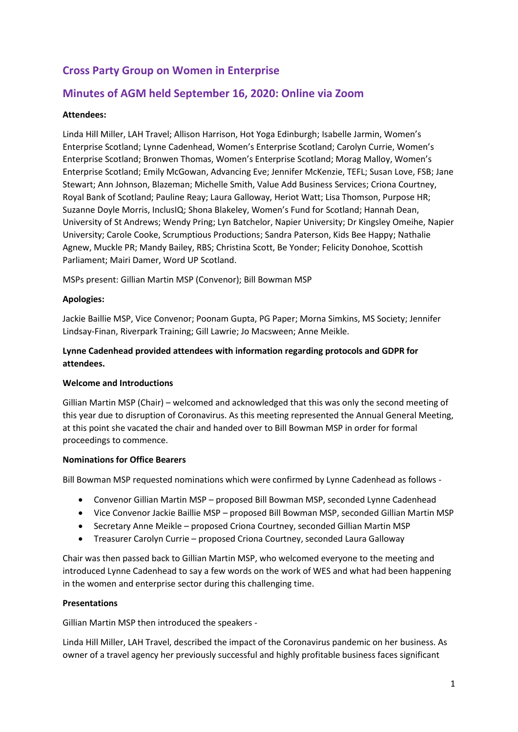# **Cross Party Group on Women in Enterprise**

## **Minutes of AGM held September 16, 2020: Online via Zoom**

## **Attendees:**

Linda Hill Miller, LAH Travel; Allison Harrison, Hot Yoga Edinburgh; Isabelle Jarmin, Women's Enterprise Scotland; Lynne Cadenhead, Women's Enterprise Scotland; Carolyn Currie, Women's Enterprise Scotland; Bronwen Thomas, Women's Enterprise Scotland; Morag Malloy, Women's Enterprise Scotland; Emily McGowan, Advancing Eve; Jennifer McKenzie, TEFL; Susan Love, FSB; Jane Stewart; Ann Johnson, Blazeman; Michelle Smith, Value Add Business Services; Criona Courtney, Royal Bank of Scotland; Pauline Reay; Laura Galloway, Heriot Watt; Lisa Thomson, Purpose HR; Suzanne Doyle Morris, InclusIQ; Shona Blakeley, Women's Fund for Scotland; Hannah Dean, University of St Andrews; Wendy Pring; Lyn Batchelor, Napier University; Dr Kingsley Omeihe, Napier University; Carole Cooke, Scrumptious Productions; Sandra Paterson, Kids Bee Happy; Nathalie Agnew, Muckle PR; Mandy Bailey, RBS; Christina Scott, Be Yonder; Felicity Donohoe, Scottish Parliament; Mairi Damer, Word UP Scotland.

MSPs present: Gillian Martin MSP (Convenor); Bill Bowman MSP

#### **Apologies:**

Jackie Baillie MSP, Vice Convenor; Poonam Gupta, PG Paper; Morna Simkins, MS Society; Jennifer Lindsay-Finan, Riverpark Training; Gill Lawrie; Jo Macsween; Anne Meikle.

## **Lynne Cadenhead provided attendees with information regarding protocols and GDPR for attendees.**

### **Welcome and Introductions**

Gillian Martin MSP (Chair) – welcomed and acknowledged that this was only the second meeting of this year due to disruption of Coronavirus. As this meeting represented the Annual General Meeting, at this point she vacated the chair and handed over to Bill Bowman MSP in order for formal proceedings to commence.

#### **Nominations for Office Bearers**

Bill Bowman MSP requested nominations which were confirmed by Lynne Cadenhead as follows -

- Convenor Gillian Martin MSP proposed Bill Bowman MSP, seconded Lynne Cadenhead
- Vice Convenor Jackie Baillie MSP proposed Bill Bowman MSP, seconded Gillian Martin MSP
- Secretary Anne Meikle proposed Criona Courtney, seconded Gillian Martin MSP
- Treasurer Carolyn Currie proposed Criona Courtney, seconded Laura Galloway

Chair was then passed back to Gillian Martin MSP, who welcomed everyone to the meeting and introduced Lynne Cadenhead to say a few words on the work of WES and what had been happening in the women and enterprise sector during this challenging time.

### **Presentations**

Gillian Martin MSP then introduced the speakers -

Linda Hill Miller, LAH Travel, described the impact of the Coronavirus pandemic on her business. As owner of a travel agency her previously successful and highly profitable business faces significant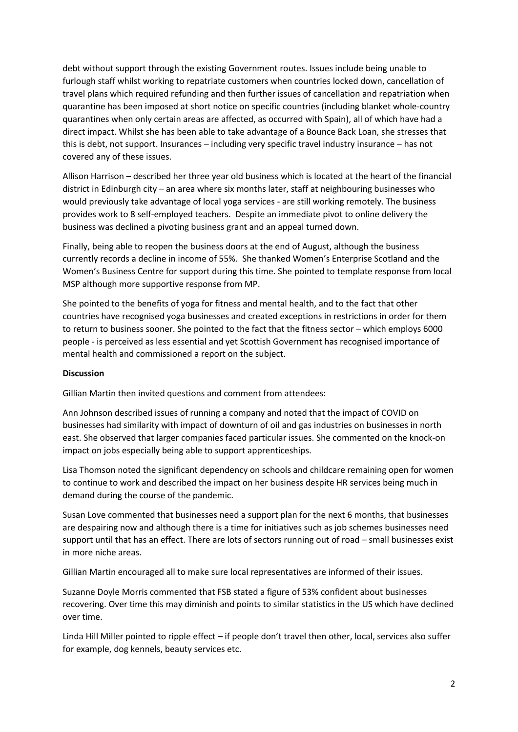debt without support through the existing Government routes. Issues include being unable to furlough staff whilst working to repatriate customers when countries locked down, cancellation of travel plans which required refunding and then further issues of cancellation and repatriation when quarantine has been imposed at short notice on specific countries (including blanket whole-country quarantines when only certain areas are affected, as occurred with Spain), all of which have had a direct impact. Whilst she has been able to take advantage of a Bounce Back Loan, she stresses that this is debt, not support. Insurances – including very specific travel industry insurance – has not covered any of these issues.

Allison Harrison – described her three year old business which is located at the heart of the financial district in Edinburgh city – an area where six months later, staff at neighbouring businesses who would previously take advantage of local yoga services - are still working remotely. The business provides work to 8 self-employed teachers. Despite an immediate pivot to online delivery the business was declined a pivoting business grant and an appeal turned down.

Finally, being able to reopen the business doors at the end of August, although the business currently records a decline in income of 55%. She thanked Women's Enterprise Scotland and the Women's Business Centre for support during this time. She pointed to template response from local MSP although more supportive response from MP.

She pointed to the benefits of yoga for fitness and mental health, and to the fact that other countries have recognised yoga businesses and created exceptions in restrictions in order for them to return to business sooner. She pointed to the fact that the fitness sector – which employs 6000 people - is perceived as less essential and yet Scottish Government has recognised importance of mental health and commissioned a report on the subject.

#### **Discussion**

Gillian Martin then invited questions and comment from attendees:

Ann Johnson described issues of running a company and noted that the impact of COVID on businesses had similarity with impact of downturn of oil and gas industries on businesses in north east. She observed that larger companies faced particular issues. She commented on the knock-on impact on jobs especially being able to support apprenticeships.

Lisa Thomson noted the significant dependency on schools and childcare remaining open for women to continue to work and described the impact on her business despite HR services being much in demand during the course of the pandemic.

Susan Love commented that businesses need a support plan for the next 6 months, that businesses are despairing now and although there is a time for initiatives such as job schemes businesses need support until that has an effect. There are lots of sectors running out of road – small businesses exist in more niche areas.

Gillian Martin encouraged all to make sure local representatives are informed of their issues.

Suzanne Doyle Morris commented that FSB stated a figure of 53% confident about businesses recovering. Over time this may diminish and points to similar statistics in the US which have declined over time.

Linda Hill Miller pointed to ripple effect – if people don't travel then other, local, services also suffer for example, dog kennels, beauty services etc.